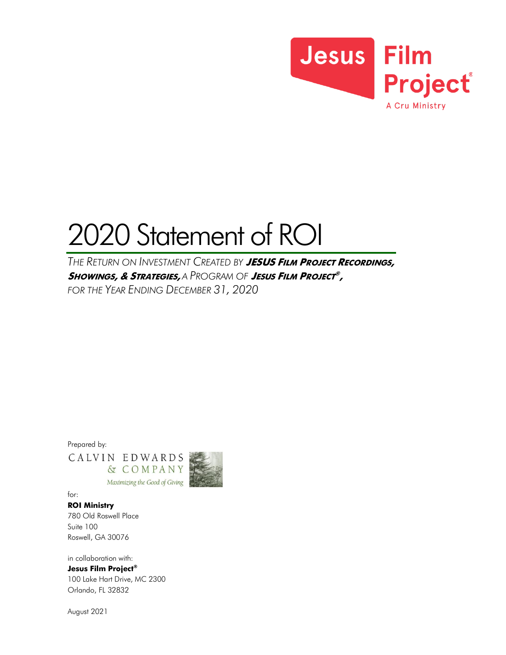

# 2020 Statement of ROI

*THE RETURN ON INVESTMENT CREATED BY JESUS <sup>F</sup>ILM PROJECT RECORDINGS, <sup>S</sup>HOWINGS, & <sup>S</sup>TRATEGIES, A PROGRAM OF JESUS FILM PROJECT ® , FOR THE YEAR ENDING DECEMBER 31, 2020*

Prepared by:

CALVIN EDWARDS & COMPANY Maximizing the Good of Giving



for:

*ROI Ministry* 780 Old Roswell Place Suite 100 Roswell, GA 30076

in collaboration with: *Jesus Film Project®* 100 Lake Hart Drive, MC 2300 Orlando, FL 32832

August 2021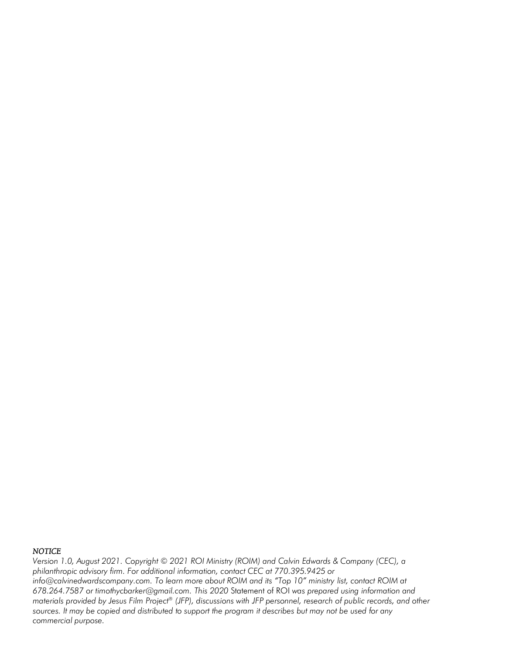#### *NOTICE*

*Version 1.0, August 2021. Copyright © 2021 ROI Ministry (ROIM) and Calvin Edwards & Company (CEC), a philanthropic advisory firm. For additional information, contact CEC at 770.395.9425 or info@calvinedwardscompany.com. To learn more about ROIM and its "Top 10" ministry list, contact ROIM at 678.264.7587 or timothycbarker@gmail.com. This 2020* Statement of ROI *was prepared using information and materials provided by Jesus Film Project® (JFP), discussions with JFP personnel, research of public records, and other sources. It may be copied and distributed to support the program it describes but may not be used for any commercial purpose.*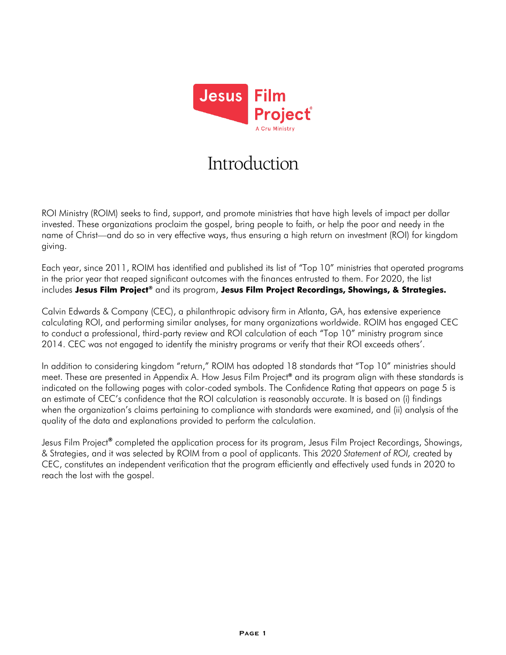

# Introduction

ROI Ministry (ROIM) seeks to find, support, and promote ministries that have high levels of impact per dollar invested. These organizations proclaim the gospel, bring people to faith, or help the poor and needy in the name of Christ—and do so in very effective ways, thus ensuring a high return on investment (ROI) for kingdom giving.

Each year, since 2011, ROIM has identified and published its list of "Top 10" ministries that operated programs in the prior year that reaped significant outcomes with the finances entrusted to them. For 2020, the list includes *Jesus Film Project®* and its program, *Jesus Film Project Recordings, Showings, & Strategies.*

Calvin Edwards & Company (CEC), a philanthropic advisory firm in Atlanta, GA, has extensive experience calculating ROI, and performing similar analyses, for many organizations worldwide. ROIM has engaged CEC to conduct a professional, third-party review and ROI calculation of each "Top 10" ministry program since 2014. CEC was not engaged to identify the ministry programs or verify that their ROI exceeds others'.

In addition to considering kingdom "return," ROIM has adopted 18 standards that "Top 10" ministries should meet. These are presented in Appendix A. How Jesus Film Project*®* and its program align with these standards is indicated on the following pages with color-coded symbols. The Confidence Rating that appears on page 5 is an estimate of CEC's confidence that the ROI calculation is reasonably accurate. It is based on (i) findings when the organization's claims pertaining to compliance with standards were examined, and (ii) analysis of the quality of the data and explanations provided to perform the calculation.

Jesus Film Project*®* completed the application process for its program, Jesus Film Project Recordings, Showings, & Strategies, and it was selected by ROIM from a pool of applicants. This *2020 Statement of ROI,* created by CEC, constitutes an independent verification that the program efficiently and effectively used funds in 2020 to reach the lost with the gospel.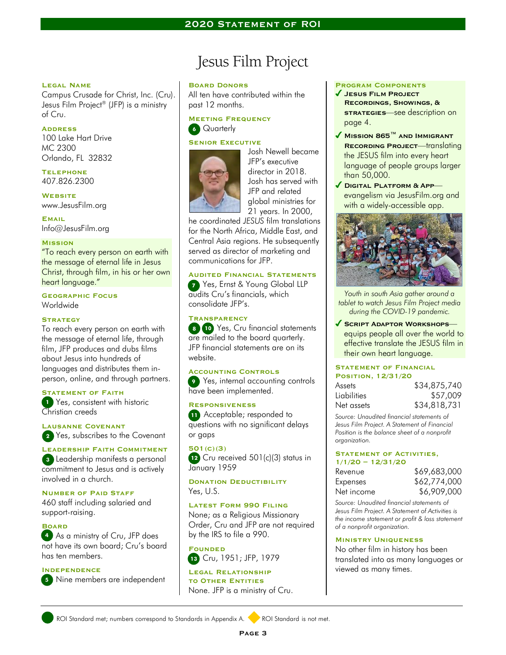#### **Legal Name**

Campus Crusade for Christ, Inc. (Cru). Jesus Film Project® (JFP) is a ministry of Cru.

#### **Address**

100 Lake Hart Drive MC 2300 Orlando, FL 32832

**Telephone** 407.826.2300

**Website** www.JesusFilm.org

**Email** Info@JesusFilm.org

#### **Mission**

"To reach every person on earth with the message of eternal life in Jesus Christ, through film, in his or her own heart language."

**Geographic Focus** Worldwide

#### **Strategy**

To reach every person on earth with the message of eternal life, through film, JFP produces and dubs films about Jesus into hundreds of languages and distributes them inperson, online, and through partners.

#### **Statement of Faith**

**1** Yes, consistent with historic Christian creeds

4 Yes, subscribes to the Covenant *2* **Lausanne Covenant**

**Leadership Faith Commitment** Leadership manifests a personal *3* commitment to Jesus and is actively involved in a church.

#### **Number of Paid Staff**

460 staff including salaried and support-raising.

**Board**

 As a ministry of Cru, JFP does *4* not have its own board; Cru's board has ten members.

#### **Independence**

Nine members are independent *5*

## Jesus Film Project

#### **Board Donors**

All ten have contributed within the past 12 months.

**Meeting Frequency 6** Quarterly

#### **SENIOR EXECUTIVE**



Josh Newell became JFP's executive director in 2018. Josh has served with JFP and related global ministries for 21 years. In 2000,

he coordinated *JESUS* film translations for the North Africa, Middle East, and Central Asia regions. He subsequently served as director of marketing and communications for JFP.

#### **Audited Financial Statements**

**7** Yes, Ernst & Young Global LLP audits Cru's financials, which consolidate JFP's.

#### **Transparency**

 Yes, Cru financial statements *8 10* are mailed to the board quarterly. *8* JFP financial statements are on its website.

#### **Accounting Controls**

**9** Yes, internal accounting controls have been implemented.

#### **Responsiveness**

**11** Acceptable; responded to questions with no significant delays or gaps

**501(c)(3) 12** Cru received 501(c)(3) status in January 1959

**DONATION DEDUCTIBILITY** Yes, U.S.

**Latest Form 990 Filing** None; as a Religious Missionary Order, Cru and JFP are not required by the IRS to file a 990.

13 Cru, 1951; JFP, 1979 **Founded**

**Legal Relationship to Other Entities** None. JFP is a ministry of Cru.

#### **Program Components**

- **Jesus Film Project Recordings, Showings, & sTRATEGIES**—see description on page 4.
- **Mission 865™ and Immigrant Recording Project**—translating the JESUS film into every heart language of people groups larger than 50,000.
- **Digital Platform & App** evangelism via JesusFilm.org and with a widely-accessible app.



*Youth in south Asia gather around a tablet to watch Jesus Film Project media during the COVID-19 pandemic.*

#### **Script Adaptor Workshops**—

equips people all over the world to effective translate the JESUS film in their own heart language.

#### **Statement of Financial Position, 12/31/20**

| Assets             | \$34,875,740 |
|--------------------|--------------|
| <b>Lightlifies</b> | \$57,009     |
| Net assets         | \$34,818,731 |

*Source: Unaudited financial statements of Jesus Film Project. A Statement of Financial Position is the balance sheet of a nonprofit organization.*

#### **STATEMENT OF ACTIVITIES, 1/1/20 – 12/31/20**

| Revenue    | \$69,683,000 |
|------------|--------------|
| Expenses   | \$62,774,000 |
| Net income | \$6,909,000  |
|            |              |

*Source: Unaudited financial statements of Jesus Film Project. A Statement of Activities is the income statement or profit & loss statement of a nonprofit organization.* 

#### **Ministry Uniqueness**

No other film in history has been translated into as many languages or viewed as many times.

ROI Standard met; numbers correspond to Standards in Appendix A. ROI Standard is not met.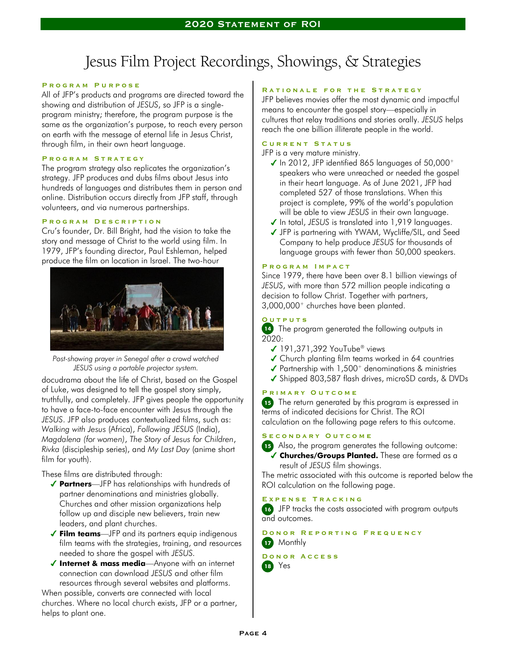# Jesus Film Project Recordings, Showings, & Strategies

#### **P r o g r a m P u r p o s e**

All of JFP's products and programs are directed toward the showing and distribution of *JESUS*, so JFP is a singleprogram ministry; therefore, the program purpose is the same as the organization's purpose, to reach every person on earth with the message of eternal life in Jesus Christ, through film, in their own heart language.

#### **P r o g r a m S t r a t e g y**

The program strategy also replicates the organization's strategy. JFP produces and dubs films about Jesus into hundreds of languages and distributes them in person and online. Distribution occurs directly from JFP staff, through volunteers, and via numerous partnerships.

#### **P r o g r a m D e s c r i p t i o n**

Cru's founder, Dr. Bill Bright, had the vision to take the story and message of Christ to the world using film. In 1979, JFP's founding director, Paul Eshleman, helped produce the film on location in Israel. The two-hour



*Post-showing prayer in Senegal after a crowd watched JESUS using a portable projector system.*

docudrama about the life of Christ, based on the Gospel of Luke, was designed to tell the gospel story simply, truthfully, and completely. JFP gives people the opportunity to have a face-to-face encounter with Jesus through the *JESUS*. JFP also produces contextualized films, such as: *Walking with Jesus* (Africa), *Following JESUS* (India), *Magdalena (for women)*, *The Story of Jesus for Children*, *Rivka* (discipleship series), and *My Last Day* (anime short film for youth).

These films are distributed through:

- *Partners*—JFP has relationships with hundreds of partner denominations and ministries globally. Churches and other mission organizations help follow up and disciple new believers, train new leaders, and plant churches.
- *Film teams*—JFP and its partners equip indigenous film teams with the strategies, training, and resources needed to share the gospel with *JESUS.*
- *Internet & mass media*—Anyone with an internet connection can download *JESUS* and other film resources through several websites and platforms.

When possible, converts are connected with local churches. Where no local church exists, JFP or a partner, helps to plant one.

#### **R a t i o n a l e f o r t h e S t r a t e g y**

JFP believes movies offer the most dynamic and impactful means to encounter the gospel story—especially in cultures that relay traditions and stories orally. *JESUS* helps reach the one billion illiterate people in the world.

#### **C u r r e n t S t a t u s**

JFP is a very mature ministry.

- $\checkmark$  In 2012, JFP identified 865 languages of 50,000+ speakers who were unreached or needed the gospel in their heart language. As of June 2021, JFP had completed 527 of those translations. When this project is complete, 99% of the world's population will be able to view *JESUS* in their own language.
- In total, *JESUS* is translated into 1,919 languages.
- JFP is partnering with YWAM, Wycliffe/SIL, and Seed Company to help produce *JESUS* for thousands of language groups with fewer than 50,000 speakers.

#### **P r o g r a m I m p a c t**

Since 1979, there have been over 8.1 billion viewings of *JESUS*, with more than 572 million people indicating a decision to follow Christ. Together with partners, 3,000,000<sup>+</sup> churches have been planted.

#### **O u t p u t s**

 The program generated the following outputs in *14*  $2020$ 

- $\checkmark$  191,371,392 YouTube<sup>®</sup> views
- ◆ Church planting film teams worked in 64 countries
- $\sqrt{\ }$  Partnership with 1,500<sup>+</sup> denominations & ministries
- ◆ Shipped 803,587 flash drives, microSD cards, & DVDs

#### **P r i m a r y O u t c o m e**

**15** The return generated by this program is expressed in terms of indicated decisions for Christ. The ROI calculation on the following page refers to this outcome.

#### S E C O N D A R Y O U T C O M E

 Also, the program generates the following outcome: *15 Churches/Groups Planted.* These are formed as a

result of *JESUS* film showings.

The metric associated with this outcome is reported below the ROI calculation on the following page.

#### **E x p e n s e T r a c k i n g**

16 JFP tracks the costs associated with program outputs and outcomes.

**DONOR REPORTING FREQUENCY 17** Monthly

#### **D o n o r A c c e s s**

 Yes *18*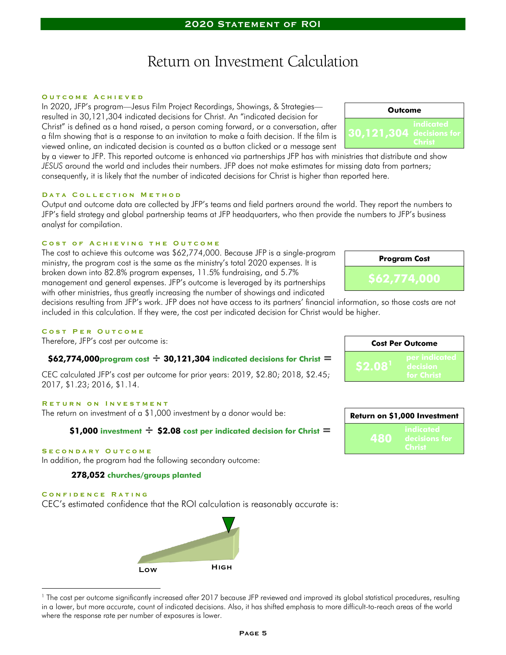### Return on Investment Calculation

#### **O u t c o m e A c h i e v e d**

In 2020, JFP's program—Jesus Film Project Recordings, Showings, & Strategies resulted in 30,121,304 indicated decisions for Christ. An "indicated decision for Christ" is defined as a hand raised, a person coming forward, or a conversation, after a film showing that is a response to an invitation to make a faith decision. If the film is viewed online, an indicated decision is counted as a button clicked or a message sent

by a viewer to JFP. This reported outcome is enhanced via partnerships JFP has with ministries that distribute and show *JESUS* around the world and includes their numbers. JFP does not make estimates for missing data from partners; consequently, it is likely that the number of indicated decisions for Christ is higher than reported here.

#### **DATA COLLECTION METHOD**

Output and outcome data are collected by JFP's teams and field partners around the world. They report the numbers to JFP's field strategy and global partnership teams at JFP headquarters, who then provide the numbers to JFP's business analyst for compilation.

#### **COST OF ACHIEVING THE OUTCOME**

The cost to achieve this outcome was \$62,774,000. Because JFP is a single-program ministry, the program cost is the same as the ministry's total 2020 expenses. It is broken down into 82.8% program expenses, 11.5% fundraising, and 5.7% management and general expenses. JFP's outcome is leveraged by its partnerships with other ministries, thus greatly increasing the number of showings and indicated

decisions resulting from JFP's work. JFP does not have access to its partners' financial information, so those costs are not included in this calculation. If they were, the cost per indicated decision for Christ would be higher.

#### COST PER OUTCOME

Therefore, JFP's cost per outcome is:

#### *\$62,774,000program cost ÷ 30,121,304 indicated decisions for Christ =*

CEC calculated JFP's cost per outcome for prior years: 2019, \$2.80; 2018, \$2.45; 2017, \$1.23; 2016, \$1.14.

#### **RETURN ON INVESTMENT**

The return on investment of a \$1,000 investment by a donor would be:

#### *\$1,000 investment ÷ \$2.08 cost per indicated decision for Christ =*

#### **S e c o n d a r y O u t c o m e**

In addition, the program had the following secondary outcome:

#### *278,052 churches/groups planted*

#### **C o n f i d e n c e R a t i n g**

CEC's estimated confidence that the ROI calculation is reasonably accurate is:

**Low High**

| a wu mgmur. |                           |
|-------------|---------------------------|
|             | <b>Cost Per Outcome</b>   |
|             | per indicated<br>decision |

| Return on \$1,000 Investment |                                      |  |
|------------------------------|--------------------------------------|--|
| 480                          | indicated<br>decisions for<br>Christ |  |





*Program Cost*

*\$62,774,000*

<sup>&</sup>lt;sup>1</sup> The cost per outcome significantly increased after 2017 because JFP reviewed and improved its global statistical procedures, resulting in a lower, but more accurate, count of indicated decisions. Also, it has shifted emphasis to more difficult-to-reach areas of the world where the response rate per number of exposures is lower.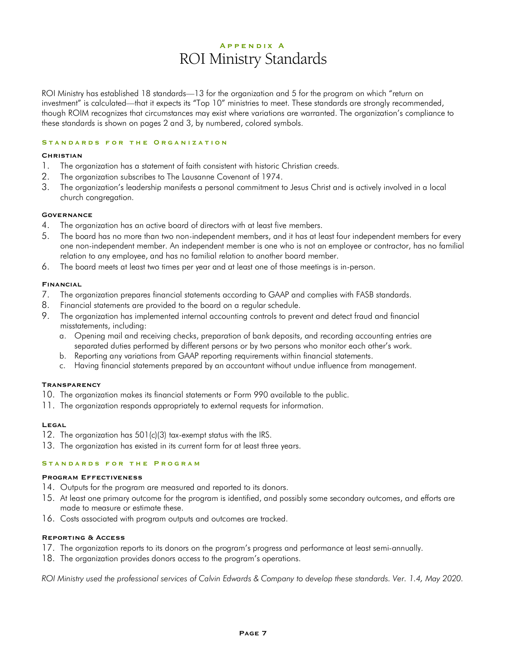### **A p p e n d i x A** ROI Ministry Standards

ROI Ministry has established 18 standards—13 for the organization and 5 for the program on which "return on investment" is calculated—that it expects its "Top 10" ministries to meet. These standards are strongly recommended, though ROIM recognizes that circumstances may exist where variations are warranted. The organization's compliance to these standards is shown on pages 2 and 3, by numbered, colored symbols.

#### **STANDARDS FOR THE ORGANIZATION**

#### **Christian**

- 1. The organization has a statement of faith consistent with historic Christian creeds.
- 2. The organization subscribes to The Lausanne Covenant of 1974.
- 3. The organization's leadership manifests a personal commitment to Jesus Christ and is actively involved in a local church congregation.

#### **Governance**

- 4. The organization has an active board of directors with at least five members.
- 5. The board has no more than two non-independent members, and it has at least four independent members for every one non-independent member. An independent member is one who is not an employee or contractor, has no familial relation to any employee, and has no familial relation to another board member.
- 6. The board meets at least two times per year and at least one of those meetings is in-person.

#### **Financial**

- 7. The organization prepares financial statements according to GAAP and complies with FASB standards.
- 8. Financial statements are provided to the board on a regular schedule.
- 9. The organization has implemented internal accounting controls to prevent and detect fraud and financial misstatements, including:
	- a. Opening mail and receiving checks, preparation of bank deposits, and recording accounting entries are separated duties performed by different persons or by two persons who monitor each other's work.
	- b. Reporting any variations from GAAP reporting requirements within financial statements.
	- c. Having financial statements prepared by an accountant without undue influence from management.

#### **Transparency**

- 10. The organization makes its financial statements or Form 990 available to the public.
- 11. The organization responds appropriately to external requests for information.

#### **Legal**

- 12. The organization has 501(c)(3) tax-exempt status with the IRS.
- 13. The organization has existed in its current form for at least three years.

#### **STANDARDS FOR THE PROGRAM**

#### **Program Effectiveness**

- 14. Outputs for the program are measured and reported to its donors.
- 15. At least one primary outcome for the program is identified, and possibly some secondary outcomes, and efforts are made to measure or estimate these.
- 16. Costs associated with program outputs and outcomes are tracked.

#### **Reporting & Access**

- 17. The organization reports to its donors on the program's progress and performance at least semi-annually.
- 18. The organization provides donors access to the program's operations.

*ROI Ministry used the professional services of Calvin Edwards & Company to develop these standards. Ver. 1.4, May 2020.*